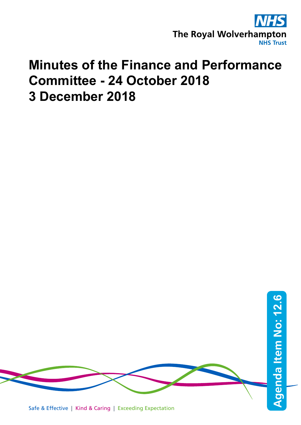

## **Minutes of the Finance and Performance Committee - 24 October 2018 3 December 2018**

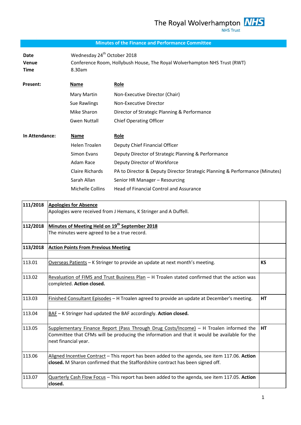## **Minutes of the Finance and Performance Committee**

| Date<br><b>Venue</b><br>Time | Wednesday 24 <sup>th</sup> October 2018<br>8.30am | Conference Room, Hollybush House, The Royal Wolverhampton NHS Trust (RWT)   |
|------------------------------|---------------------------------------------------|-----------------------------------------------------------------------------|
| <b>Present:</b>              | Name                                              | <b>Role</b>                                                                 |
|                              | Mary Martin                                       | Non-Executive Director (Chair)                                              |
|                              | Sue Rawlings                                      | Non-Executive Director                                                      |
|                              | Mike Sharon                                       | Director of Strategic Planning & Performance                                |
|                              | <b>Gwen Nuttall</b>                               | <b>Chief Operating Officer</b>                                              |
| In Attendance:               | Name                                              | <u>Role</u>                                                                 |
|                              | Helen Troalen                                     | Deputy Chief Financial Officer                                              |
|                              | Simon Evans                                       | Deputy Director of Strategic Planning & Performance                         |
|                              | Adam Race                                         | Deputy Director of Workforce                                                |
|                              | <b>Claire Richards</b>                            | PA to Director & Deputy Director Strategic Planning & Performance (Minutes) |
|                              | Sarah Allan                                       | Senior HR Manager - Resourcing                                              |
|                              | Michelle Collins                                  | <b>Head of Financial Control and Assurance</b>                              |

| 111/2018 | <b>Apologies for Absence</b><br>Apologies were received from J Hemans, K Stringer and A Duffell.                                                                                                               |           |
|----------|----------------------------------------------------------------------------------------------------------------------------------------------------------------------------------------------------------------|-----------|
| 112/2018 | Minutes of Meeting Held on 19 <sup>th</sup> September 2018<br>The minutes were agreed to be a true record.                                                                                                     |           |
| 113/2018 | <b>Action Points From Previous Meeting</b>                                                                                                                                                                     |           |
| 113.01   | Overseas Patients - K Stringer to provide an update at next month's meeting.                                                                                                                                   | <b>KS</b> |
| 113.02   | Revaluation of FIMS and Trust Business Plan - H Troalen stated confirmed that the action was<br>completed. Action closed.                                                                                      |           |
| 113.03   | Finished Consultant Episodes - H Troalen agreed to provide an update at December's meeting.                                                                                                                    | <b>HT</b> |
| 113.04   | BAF - K Stringer had updated the BAF accordingly. Action closed.                                                                                                                                               |           |
| 113.05   | Supplementary Finance Report (Pass Through Drug Costs/Income) - H Troalen informed the<br>Committee that CFMs will be producing the information and that it would be available for the<br>next financial year. | <b>HT</b> |
| 113.06   | Aligned Incentive Contract - This report has been added to the agenda, see item 117.06. Action<br>closed. M Sharon confirmed that the Staffordshire contract has been signed off.                              |           |
| 113.07   | Quarterly Cash Flow Focus - This report has been added to the agenda, see item 117.05. Action<br>closed.                                                                                                       |           |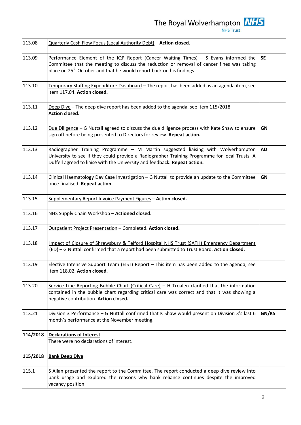The Royal Wolverhampton  $\frac{NHS}{NHS \text{ Trust}}$ 

| 113.08   | Quarterly Cash Flow Focus (Local Authority Debt) - Action closed.                                                                                                                                                                                                      |           |
|----------|------------------------------------------------------------------------------------------------------------------------------------------------------------------------------------------------------------------------------------------------------------------------|-----------|
| 113.09   | Performance Element of the IQP Report (Cancer Waiting Times) $-$ S Evans informed the<br>Committee that the meeting to discuss the reduction or removal of cancer fines was taking<br>place on 25 <sup>th</sup> October and that he would report back on his findings. | <b>SE</b> |
| 113.10   | Temporary Staffing Expenditure Dashboard - The report has been added as an agenda item, see<br>item 117.04. Action closed.                                                                                                                                             |           |
| 113.11   | Deep Dive - The deep dive report has been added to the agenda, see item 115/2018.<br>Action closed.                                                                                                                                                                    |           |
| 113.12   | Due Diligence - G Nuttall agreed to discuss the due diligence process with Kate Shaw to ensure<br>sign off before being presented to Directors for review. Repeat action.                                                                                              | GN        |
| 113.13   | Radiographer Training Programme - M Martin suggested liaising with Wolverhampton<br>University to see if they could provide a Radiographer Training Programme for local Trusts. A<br>Duffell agreed to liaise with the University and feedback. Repeat action.         | <b>AD</b> |
| 113.14   | Clinical Haematology Day Case Investigation - G Nuttall to provide an update to the Committee<br>once finalised. Repeat action.                                                                                                                                        | GN        |
| 113.15   | Supplementary Report Invoice Payment Figures - Action closed.                                                                                                                                                                                                          |           |
| 113.16   | NHS Supply Chain Workshop - Actioned closed.                                                                                                                                                                                                                           |           |
| 113.17   | Outpatient Project Presentation - Completed. Action closed.                                                                                                                                                                                                            |           |
| 113.18   | Impact of Closure of Shrewsbury & Telford Hospital NHS Trust (SATH) Emergency Department<br>(ED) - G Nuttall confirmed that a report had been submitted to Trust Board. Action closed.                                                                                 |           |
| 113.19   | Elective Intensive Support Team (EIST) Report - This item has been added to the agenda, see<br>item 118.02. Action closed.                                                                                                                                             |           |
| 113.20   | Service Line Reporting Bubble Chart (Critical Care) - H Troalen clarified that the information<br>contained in the bubble chart regarding critical care was correct and that it was showing a<br>negative contribution. Action closed.                                 |           |
| 113.21   | Division 3 Performance - G Nuttall confirmed that K Shaw would present on Division 3's last 6<br>month's performance at the November meeting.                                                                                                                          | GN/KS     |
| 114/2018 | <b>Declarations of Interest</b><br>There were no declarations of interest.                                                                                                                                                                                             |           |
| 115/2018 | <b>Bank Deep Dive</b>                                                                                                                                                                                                                                                  |           |
| 115.1    | S Allan presented the report to the Committee. The report conducted a deep dive review into<br>bank usage and explored the reasons why bank reliance continues despite the improved<br>vacancy position.                                                               |           |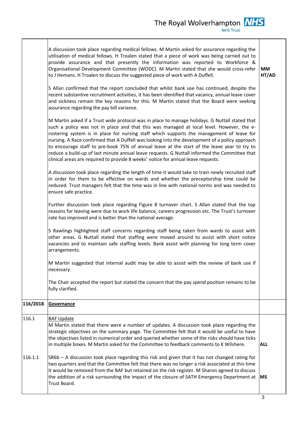|          | A discussion took place regarding medical fellows. M Martin asked for assurance regarding the<br>utilisation of medical fellows. H Troalen stated that a piece of work was being carried out to<br>provide assurance and that presently the information was reported to Workforce &<br>Organisational Development Committee (WODC). M Martin stated that she would cross-refer<br>to J Hemans. H Troalen to discuss the suggested piece of work with A Duffell.<br>S Allan confirmed that the report concluded that whilst bank use has continued, despite the<br>recent substantive recruitment activities, it has been identified that vacancy, annual leave cover<br>and sickness remain the key reasons for this. M Martin stated that the Board were seeking<br>assurance regarding the pay bill variance.<br>M Martin asked if a Trust wide protocol was in place to manage holidays. G Nuttall stated that<br>such a policy was not in place and that this was managed at local level. However, the e-<br>rostering system is in place for nursing staff which supports the management of leave for<br>nursing. A Race confirmed that A Duffell was looking into the development of a policy approach<br>to encourage staff to pre-book 75% of annual leave at the start of the leave year to try to<br>reduce a build-up of last minute annual leave requests. G Nuttall informed the Committee that<br>clinical areas are required to provide 8 weeks' notice for annual leave requests.<br>A discussion took place regarding the length of time it would take to train newly recruited staff<br>in order for them to be effective on wards and whether the preceptorship time could be<br>reduced. Trust managers felt that the time was in line with national norms and was needed to<br>ensure safe practice.<br>Further discussion took place regarding Figure 8 turnover chart. S Allan stated that the top<br>reasons for leaving were due to work life balance, careers progression etc. The Trust's turnover<br>rate has improved and is better than the national average.<br>S Rawlings highlighted staff concerns regarding staff being taken from wards to assist with<br>other areas. G Nuttall stated that staffing were moved around to assist with short notice<br>vacancies and to maintain safe staffing levels. Bank assist with planning for long term cover<br>arrangements.<br>M Martin suggested that internal audit may be able to assist with the review of bank use if<br>necessary.<br>The Chair accepted the report but stated the concern that the pay spend position remains to be<br>fully clarified. | <b>MM</b><br>HT/AD |
|----------|----------------------------------------------------------------------------------------------------------------------------------------------------------------------------------------------------------------------------------------------------------------------------------------------------------------------------------------------------------------------------------------------------------------------------------------------------------------------------------------------------------------------------------------------------------------------------------------------------------------------------------------------------------------------------------------------------------------------------------------------------------------------------------------------------------------------------------------------------------------------------------------------------------------------------------------------------------------------------------------------------------------------------------------------------------------------------------------------------------------------------------------------------------------------------------------------------------------------------------------------------------------------------------------------------------------------------------------------------------------------------------------------------------------------------------------------------------------------------------------------------------------------------------------------------------------------------------------------------------------------------------------------------------------------------------------------------------------------------------------------------------------------------------------------------------------------------------------------------------------------------------------------------------------------------------------------------------------------------------------------------------------------------------------------------------------------------------------------------------------------------------------------------------------------------------------------------------------------------------------------------------------------------------------------------------------------------------------------------------------------------------------------------------------------------------------------------------------------------------------------------------------------------------------------------------------------------------------------------------------------------------------------|--------------------|
| 116/2018 | Governance                                                                                                                                                                                                                                                                                                                                                                                                                                                                                                                                                                                                                                                                                                                                                                                                                                                                                                                                                                                                                                                                                                                                                                                                                                                                                                                                                                                                                                                                                                                                                                                                                                                                                                                                                                                                                                                                                                                                                                                                                                                                                                                                                                                                                                                                                                                                                                                                                                                                                                                                                                                                                                   |                    |
| 116.1    | <b>BAF Update</b><br>M Martin stated that there were a number of updates. A discussion took place regarding the<br>strategic objectives on the summary page. The Committee felt that it would be useful to have<br>the objectives listed in numerical order and queried whether some of the risks should have ticks<br>in multiple boxes. M Martin asked for the Committee to feedback comments to K Wilshere.                                                                                                                                                                                                                                                                                                                                                                                                                                                                                                                                                                                                                                                                                                                                                                                                                                                                                                                                                                                                                                                                                                                                                                                                                                                                                                                                                                                                                                                                                                                                                                                                                                                                                                                                                                                                                                                                                                                                                                                                                                                                                                                                                                                                                               | <b>ALL</b>         |
| 116.1.1  | SR6b - A discussion took place regarding this risk and given that it has not changed rating for<br>two quarters and that the Committee felt that there was no longer a risk associated at this time<br>it would be removed from the BAF but retained on the risk register. M Sharon agreed to discuss<br>the addition of a risk surrounding the impact of the closure of SATH Emergency Department at<br>Trust Board.                                                                                                                                                                                                                                                                                                                                                                                                                                                                                                                                                                                                                                                                                                                                                                                                                                                                                                                                                                                                                                                                                                                                                                                                                                                                                                                                                                                                                                                                                                                                                                                                                                                                                                                                                                                                                                                                                                                                                                                                                                                                                                                                                                                                                        | <b>MS</b>          |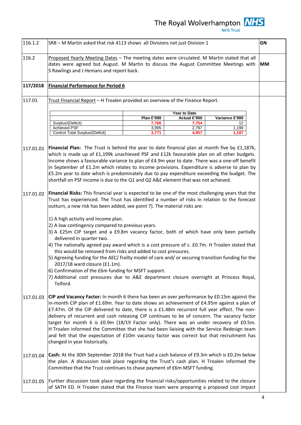| 116.1.2   | SR8 - M Martin asked that risk 4113 shows all Divisions not just Division 1                                                                                                                                                                                                                                                                                                                                                                                                                                                                                                                                                                                                                                    | GN        |
|-----------|----------------------------------------------------------------------------------------------------------------------------------------------------------------------------------------------------------------------------------------------------------------------------------------------------------------------------------------------------------------------------------------------------------------------------------------------------------------------------------------------------------------------------------------------------------------------------------------------------------------------------------------------------------------------------------------------------------------|-----------|
| 116.2     | Proposed Yearly Meeting Dates - The meeting dates were circulated. M Martin stated that all<br>dates were agreed but August. M Martin to discuss the August Committee Meetings with<br>S Rawlings and J Hemans and report back.                                                                                                                                                                                                                                                                                                                                                                                                                                                                                | <b>MM</b> |
| 117/2018  | <b>Financial Performance for Period 6</b>                                                                                                                                                                                                                                                                                                                                                                                                                                                                                                                                                                                                                                                                      |           |
| 117.01    | Trust Financial Report - H Troalen provided an overview of the Finance Report.                                                                                                                                                                                                                                                                                                                                                                                                                                                                                                                                                                                                                                 |           |
|           | Year to Date<br><b>Plan £'000</b><br>Actual £'000<br>Variance £'000<br>Surplus/(Deficit)<br>7,766<br>7,754<br>12                                                                                                                                                                                                                                                                                                                                                                                                                                                                                                                                                                                               |           |
|           | <b>Achieved PSF</b><br>2,797<br>3,995<br>1,199<br>Control Total Surplus/(Deficit)<br>4,957<br>1,187<br>3,771                                                                                                                                                                                                                                                                                                                                                                                                                                                                                                                                                                                                   |           |
| 117.01.01 | Financial Plan: The Trust is behind the year to date financial plan at month five by £1,187k,<br>which is made up of £1,199k unachieved PSF and £12k favourable plan on all other budgets.<br>Income shows a favourable variance to plan of £4.9m year to date. There was a one-off benefit<br>in September of £1.2m which relates to income provisions. Expenditure is adverse to plan by<br>£5.2m year to date which is predominately due to pay expenditure exceeding the budget. The<br>shortfall on PSF income is due to the Q1 and Q2 A&E element that was not achieved.                                                                                                                                 |           |
| 117.01.02 | Financial Risks: This financial year is expected to be one of the most challenging years that the<br>Trust has experienced. The Trust has identified a number of risks in relation to the forecast<br>outturn, a new risk has been added, see point 7). The material risks are:                                                                                                                                                                                                                                                                                                                                                                                                                                |           |
|           | 1) A high activity and income plan.<br>2) A low contingency compared to previous years.<br>3) A £25m CIP target and a £9.8m vacancy factor, both of which have only been partially<br>delivered in quarter two.<br>4) The nationally agreed pay award which is a cost pressure of c. £0.7m. H Troalen stated that<br>this would be removed from risks and added to cost pressures.<br>5) Agreeing funding for the AEC/ frailty model of care and/ or securing transition funding for the<br>2017/18 ward closure (£1.1m).<br>6) Confirmation of the £6m funding for MSFT support.<br>7) Additional cost pressures due to A&E department closure overnight at Princess Royal,<br>Telford.                       |           |
| 117.01.03 | CIP and Vacancy Factor: In month 6 there has been an over performance by £0.15m against the<br>in-month CIP plan of £1.69m. Year to date shows an achievement of £4.95m against a plan of<br>£7.47m. Of the CIP delivered to date, there is a £1.48m recurrent full year effect. The non-<br>delivery of recurrent and cash releasing CIP continues to be of concern. The vacancy factor<br>target for month 6 is £0.9m (18/19 Factor only). There was an under recovery of £0.5m.<br>H Troalen informed the Committee that she had been liaising with the Service Redesign team<br>and felt that the expectation of £10m vacancy factor was correct but that recruitment has<br>changed in year historically. |           |
| 117.01.04 | Cash: At the 30th September 2018 the Trust had a cash balance of £9.3m which is £0.2m below<br>the plan. A discussion took place regarding the Trust's cash plan. H Troalen informed the<br>Committee that the Trust continues to chase payment of £6m MSFT funding.                                                                                                                                                                                                                                                                                                                                                                                                                                           |           |
| 117.01.05 | Further discussion took place regarding the financial risks/opportunities related to the closure<br>of SATH ED. H Troalen stated that the Finance team were preparing a proposed cost impact                                                                                                                                                                                                                                                                                                                                                                                                                                                                                                                   |           |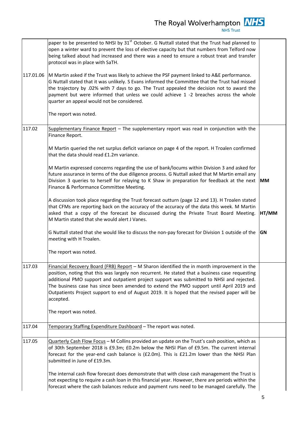|           | paper to be presented to NHSI by 31 <sup>st</sup> October. G Nuttall stated that the Trust had planned to<br>open a winter ward to prevent the loss of elective capacity but that numbers from Telford now<br>being talked about had increased and there was a need to ensure a robust treat and transfer<br>protocol was in place with SaTH.                                                                                                                                                        |           |
|-----------|------------------------------------------------------------------------------------------------------------------------------------------------------------------------------------------------------------------------------------------------------------------------------------------------------------------------------------------------------------------------------------------------------------------------------------------------------------------------------------------------------|-----------|
| 117.01.06 | M Martin asked if the Trust was likely to achieve the PSF payment linked to A&E performance.<br>G Nuttall stated that it was unlikely. S Evans informed the Committee that the Trust had missed<br>the trajectory by .02% with 7 days to go. The Trust appealed the decision not to award the<br>payment but were informed that unless we could achieve 1 -2 breaches across the whole<br>quarter an appeal would not be considered.                                                                 |           |
|           | The report was noted.                                                                                                                                                                                                                                                                                                                                                                                                                                                                                |           |
| 117.02    | Supplementary Finance Report - The supplementary report was read in conjunction with the<br>Finance Report.                                                                                                                                                                                                                                                                                                                                                                                          |           |
|           | M Martin queried the net surplus deficit variance on page 4 of the report. H Troalen confirmed<br>that the data should read £1.2m variance.                                                                                                                                                                                                                                                                                                                                                          |           |
|           | M Martin expressed concerns regarding the use of bank/locums within Division 3 and asked for<br>future assurance in terms of the due diligence process. G Nuttall asked that M Martin email any<br>Division 3 queries to herself for relaying to K Shaw in preparation for feedback at the next<br>Finance & Performance Committee Meeting.                                                                                                                                                          | <b>MM</b> |
|           | A discussion took place regarding the Trust forecast outturn (page 12 and 13). H Troalen stated<br>that CFMs are reporting back on the accuracy of the accuracy of the data this week. M Martin<br>asked that a copy of the forecast be discussed during the Private Trust Board Meeting.<br>M Martin stated that she would alert J Vanes.                                                                                                                                                           | HT/MM     |
|           | G Nuttall stated that she would like to discuss the non-pay forecast for Division 1 outside of the<br>meeting with H Troalen.                                                                                                                                                                                                                                                                                                                                                                        | <b>GN</b> |
|           | The report was noted.                                                                                                                                                                                                                                                                                                                                                                                                                                                                                |           |
| 117.03    | Financial Recovery Board (FRB) Report - M Sharon identified the in month improvement in the<br>position, noting that this was largely non recurrent. He stated that a business case requesting<br>additional PMO support and outpatient project support was submitted to NHSI and rejected.<br>The business case has since been amended to extend the PMO support until April 2019 and<br>Outpatients Project support to end of August 2019. It is hoped that the revised paper will be<br>accepted. |           |
|           | The report was noted.                                                                                                                                                                                                                                                                                                                                                                                                                                                                                |           |
| 117.04    | Temporary Staffing Expenditure Dashboard - The report was noted.                                                                                                                                                                                                                                                                                                                                                                                                                                     |           |
| 117.05    | Quarterly Cash Flow Focus - M Collins provided an update on the Trust's cash position, which as<br>of 30th September 2018 is £9.3m; £0.2m below the NHSI Plan of £9.5m. The current internal<br>forecast for the year-end cash balance is (£2.0m). This is £21.2m lower than the NHSI Plan<br>submitted in June of £19.3m.                                                                                                                                                                           |           |
|           | The internal cash flow forecast does demonstrate that with close cash management the Trust is<br>not expecting to require a cash loan in this financial year. However, there are periods within the<br>forecast where the cash balances reduce and payment runs need to be managed carefully. The                                                                                                                                                                                                    |           |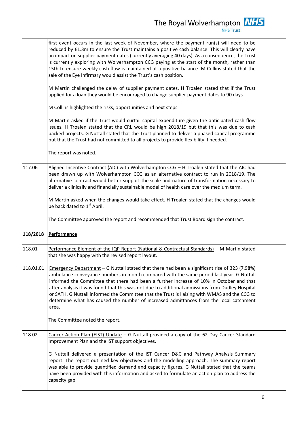|           | first event occurs in the last week of November, where the payment run(s) will need to be<br>reduced by £1.3m to ensure the Trust maintains a positive cash balance. This will clearly have<br>an impact on supplier payment dates (currently averaging 40 days). As a consequence, the Trust<br>is currently exploring with Wolverhampton CCG paying at the start of the month, rather than<br>15th to ensure weekly cash flow is maintained at a positive balance. M Collins stated that the<br>sale of the Eye Infirmary would assist the Trust's cash position.<br>M Martin challenged the delay of supplier payment dates. H Troalen stated that if the Trust<br>applied for a loan they would be encouraged to change supplier payment dates to 90 days.<br>M Collins highlighted the risks, opportunities and next steps.<br>M Martin asked if the Trust would curtail capital expenditure given the anticipated cash flow<br>issues. H Troalen stated that the CRL would be high 2018/19 but that this was due to cash<br>backed projects. G Nuttall stated that the Trust planned to deliver a phased capital programme<br>but that the Trust had not committed to all projects to provide flexibility if needed.<br>The report was noted. |  |
|-----------|-----------------------------------------------------------------------------------------------------------------------------------------------------------------------------------------------------------------------------------------------------------------------------------------------------------------------------------------------------------------------------------------------------------------------------------------------------------------------------------------------------------------------------------------------------------------------------------------------------------------------------------------------------------------------------------------------------------------------------------------------------------------------------------------------------------------------------------------------------------------------------------------------------------------------------------------------------------------------------------------------------------------------------------------------------------------------------------------------------------------------------------------------------------------------------------------------------------------------------------------------------|--|
| 117.06    | Aligned Incentive Contract (AIC) with Wolverhampton CCG - H Troalen stated that the AIC had<br>been drawn up with Wolverhampton CCG as an alternative contract to run in 2018/19. The<br>alternative contract would better support the scale and nature of transformation necessary to<br>deliver a clinically and financially sustainable model of health care over the medium term.<br>M Martin asked when the changes would take effect. H Troalen stated that the changes would<br>be back dated to 1 <sup>st</sup> April.<br>The Committee approved the report and recommended that Trust Board sign the contract.                                                                                                                                                                                                                                                                                                                                                                                                                                                                                                                                                                                                                             |  |
| 118/2018  | <b>Performance</b>                                                                                                                                                                                                                                                                                                                                                                                                                                                                                                                                                                                                                                                                                                                                                                                                                                                                                                                                                                                                                                                                                                                                                                                                                                  |  |
| 118.01    | Performance Element of the IQP Report (National & Contractual Standards) - M Martin stated<br>that she was happy with the revised report layout.                                                                                                                                                                                                                                                                                                                                                                                                                                                                                                                                                                                                                                                                                                                                                                                                                                                                                                                                                                                                                                                                                                    |  |
| 118.01.01 | Emergency Department - G Nuttall stated that there had been a significant rise of 323 (7.98%)<br>ambulance conveyance numbers in month compared with the same period last year. G Nuttall<br>informed the Committee that there had been a further increase of 10% in October and that<br>after analysis it was found that this was not due to additional admissions from Dudley Hospital<br>or SATH. G Nuttall informed the Committee that the Trust is liaising with WMAS and the CCG to<br>determine what has caused the number of increased admittances from the local catchment<br>area.<br>The Committee noted the report.                                                                                                                                                                                                                                                                                                                                                                                                                                                                                                                                                                                                                     |  |
| 118.02    | Cancer Action Plan (EIST) Update - G Nuttall provided a copy of the 62 Day Cancer Standard<br>Improvement Plan and the IST support objectives.                                                                                                                                                                                                                                                                                                                                                                                                                                                                                                                                                                                                                                                                                                                                                                                                                                                                                                                                                                                                                                                                                                      |  |
|           | G Nuttall delivered a presentation of the IST Cancer D&C and Pathway Analysis Summary<br>report. The report outlined key objectives and the modelling approach. The summary report<br>was able to provide quantified demand and capacity figures. G Nuttall stated that the teams<br>have been provided with this information and asked to formulate an action plan to address the<br>capacity gap.                                                                                                                                                                                                                                                                                                                                                                                                                                                                                                                                                                                                                                                                                                                                                                                                                                                 |  |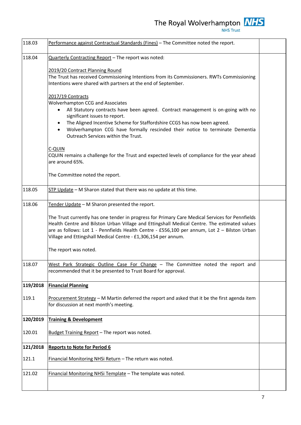The Royal Wolverhampton  $\frac{NHS}{NHS \text{ Trust}}$ 



| 118.03   | Performance against Contractual Standards (Fines) - The Committee noted the report.                                                                                                                                                                                                                                                                               |  |
|----------|-------------------------------------------------------------------------------------------------------------------------------------------------------------------------------------------------------------------------------------------------------------------------------------------------------------------------------------------------------------------|--|
| 118.04   | Quarterly Contracting Report - The report was noted:                                                                                                                                                                                                                                                                                                              |  |
|          | 2019/20 Contract Planning Round<br>The Trust has received Commissioning Intentions from its Commissioners. RWTs Commissioning<br>Intentions were shared with partners at the end of September.                                                                                                                                                                    |  |
|          | 2017/19 Contracts                                                                                                                                                                                                                                                                                                                                                 |  |
|          | <b>Wolverhampton CCG and Associates</b><br>All Statutory contracts have been agreed. Contract management is on-going with no<br>significant issues to report.                                                                                                                                                                                                     |  |
|          | The Aligned Incentive Scheme for Staffordshire CCGS has now been agreed.<br>Wolverhampton CCG have formally rescinded their notice to terminate Dementia<br>$\bullet$<br>Outreach Services within the Trust.                                                                                                                                                      |  |
|          | C-QUIN<br>CQUIN remains a challenge for the Trust and expected levels of compliance for the year ahead<br>are around 65%.                                                                                                                                                                                                                                         |  |
|          | The Committee noted the report.                                                                                                                                                                                                                                                                                                                                   |  |
| 118.05   | STP Update - M Sharon stated that there was no update at this time.                                                                                                                                                                                                                                                                                               |  |
| 118.06   | Tender Update - M Sharon presented the report.                                                                                                                                                                                                                                                                                                                    |  |
|          | The Trust currently has one tender in progress for Primary Care Medical Services for Pennfields<br>Health Centre and Bilston Urban Village and Ettingshall Medical Centre. The estimated values<br>are as follows: Lot 1 - Pennfields Health Centre - £556,100 per annum, Lot 2 - Bilston Urban<br>Village and Ettingshall Medical Centre - £1,306,154 per annum. |  |
|          | The report was noted.                                                                                                                                                                                                                                                                                                                                             |  |
| 118.07   | West Park Strategic Outline Case For Change - The Committee noted the report and<br>recommended that it be presented to Trust Board for approval.                                                                                                                                                                                                                 |  |
| 119/2018 | <b>Financial Planning</b>                                                                                                                                                                                                                                                                                                                                         |  |
| 119.1    | Procurement Strategy $-$ M Martin deferred the report and asked that it be the first agenda item<br>for discussion at next month's meeting.                                                                                                                                                                                                                       |  |
| 120/2019 | <b>Training &amp; Development</b>                                                                                                                                                                                                                                                                                                                                 |  |
| 120.01   | Budget Training Report - The report was noted.                                                                                                                                                                                                                                                                                                                    |  |
| 121/2018 | <b>Reports to Note for Period 6</b>                                                                                                                                                                                                                                                                                                                               |  |
| 121.1    | Financial Monitoring NHSi Return - The return was noted.                                                                                                                                                                                                                                                                                                          |  |
| 121.02   | Financial Monitoring NHSi Template - The template was noted.                                                                                                                                                                                                                                                                                                      |  |